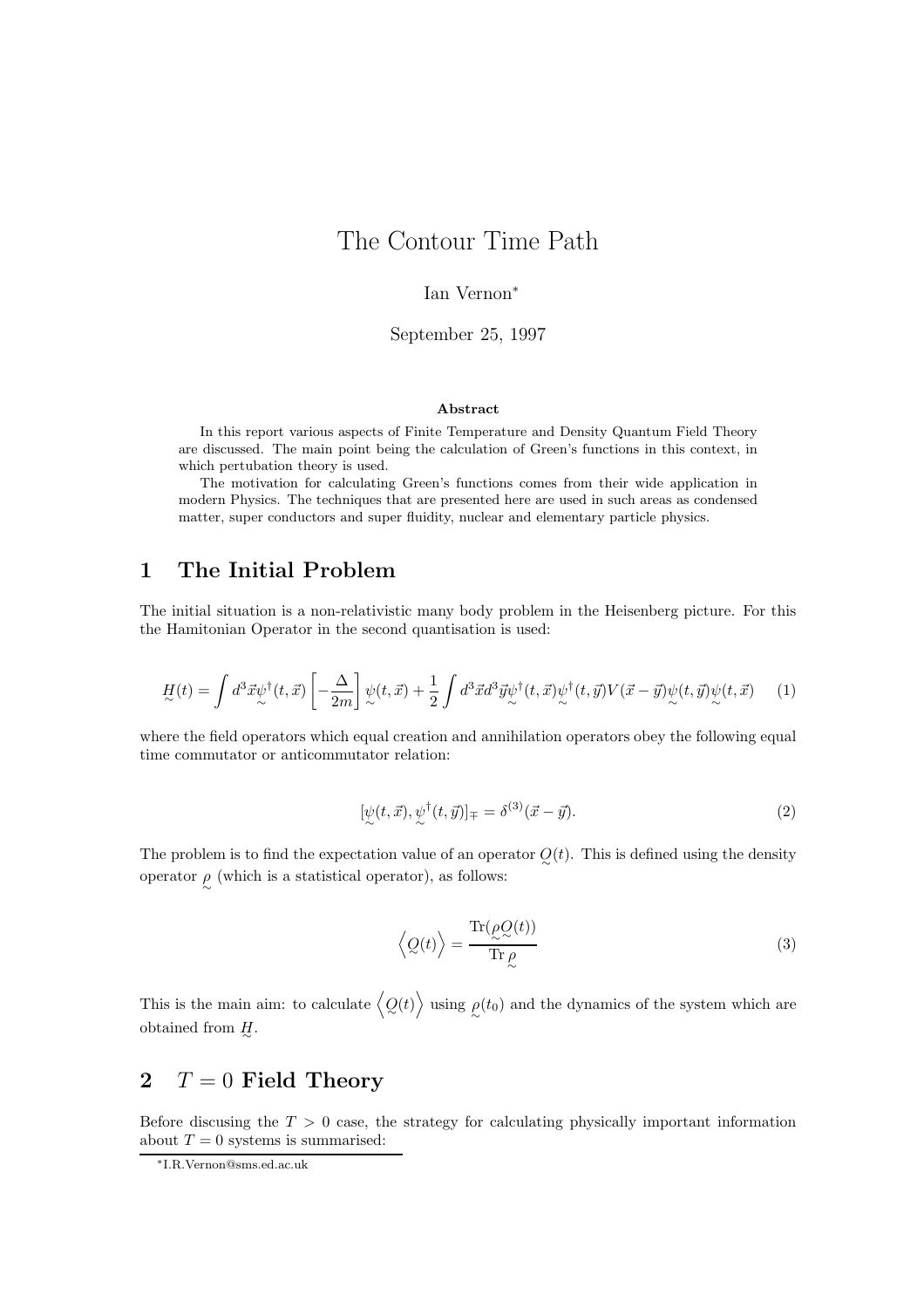# The Contour Time Path

Ian Vernon<sup>∗</sup>

September 25, 1997

#### Abstract

In this report various aspects of Finite Temperature and Density Quantum Field Theory are discussed. The main point being the calculation of Green's functions in this context, in which pertubation theory is used.

The motivation for calculating Green's functions comes from their wide application in modern Physics. The techniques that are presented here are used in such areas as condensed matter, super conductors and super fluidity, nuclear and elementary particle physics.

### 1 The Initial Problem

The initial situation is a non-relativistic many body problem in the Heisenberg picture. For this the Hamitonian Operator in the second quantisation is used:

$$
\underline{H}(t) = \int d^3 \vec{x} \psi^{\dagger}(t, \vec{x}) \left[ -\frac{\Delta}{2m} \right] \psi(t, \vec{x}) + \frac{1}{2} \int d^3 \vec{x} d^3 \vec{y} \psi^{\dagger}(t, \vec{x}) \psi^{\dagger}(t, \vec{y}) V(\vec{x} - \vec{y}) \psi(t, \vec{y}) \psi(t, \vec{x}) \tag{1}
$$

where the field operators which equal creation and annihilation operators obey the following equal time commutator or anticommutator relation:

$$
[\psi(t,\vec{x}),\psi^{\dagger}(t,\vec{y})]_{\mp} = \delta^{(3)}(\vec{x}-\vec{y}). \tag{2}
$$

The problem is to find the expectation value of an operator  $Q(t)$ . This is defined using the density operator  $\rho$  (which is a statistical operator), as follows:

$$
\left\langle Q(t) \right\rangle = \frac{\text{Tr}(\rho Q(t))}{\text{Tr}\,\rho} \tag{3}
$$

This is the main aim: to calculate  $\langle Q(t) \rangle$  using  $\rho(t_0)$  and the dynamics of the system which are obtained from  $H_1$ .

## 2  $T = 0$  Field Theory

Before discusing the  $T > 0$  case, the strategy for calculating physically important information about  $T = 0$  systems is summarised:

<sup>∗</sup>I.R.Vernon@sms.ed.ac.uk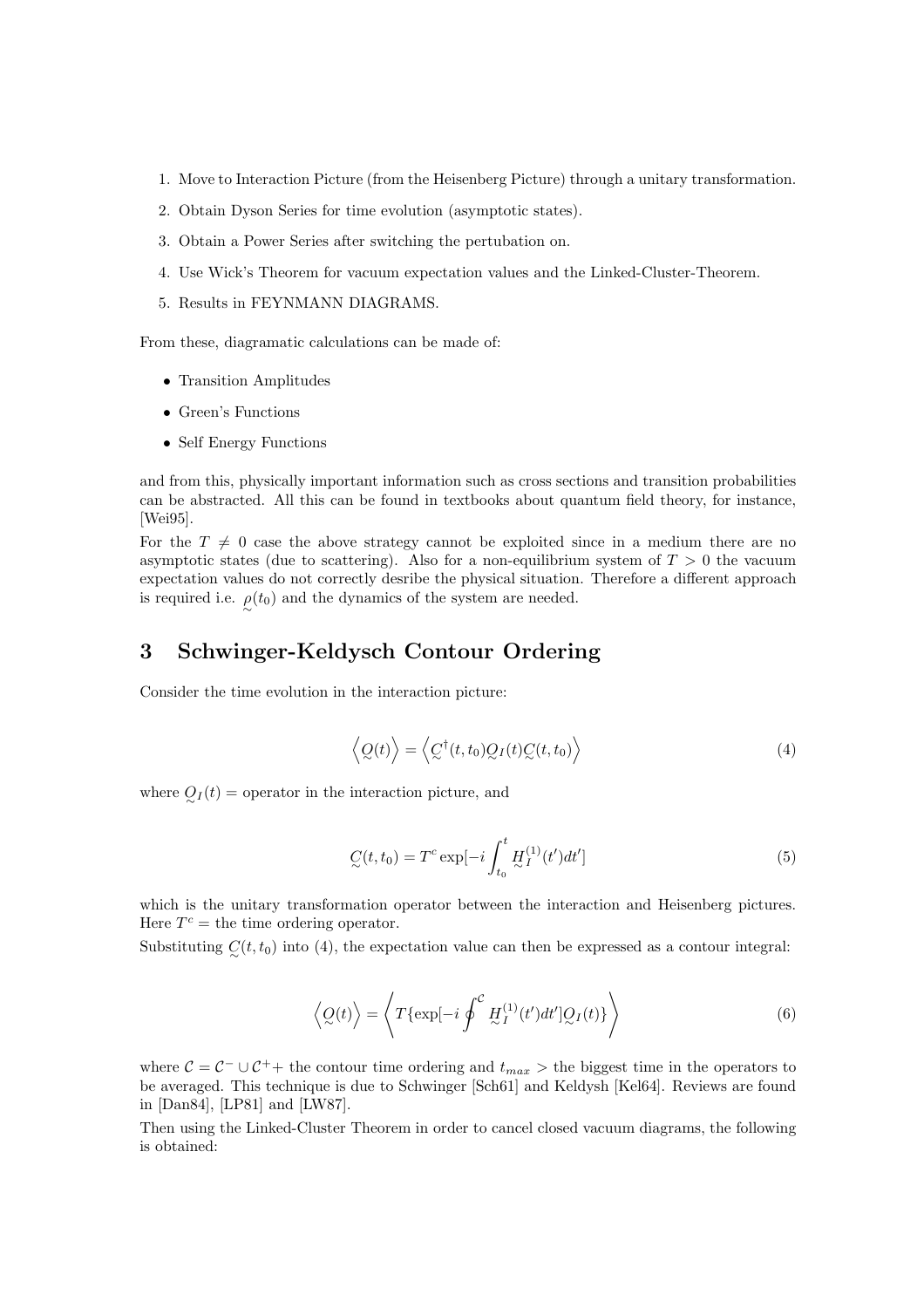- 1. Move to Interaction Picture (from the Heisenberg Picture) through a unitary transformation.
- 2. Obtain Dyson Series for time evolution (asymptotic states).
- 3. Obtain a Power Series after switching the pertubation on.
- 4. Use Wick's Theorem for vacuum expectation values and the Linked-Cluster-Theorem.
- 5. Results in FEYNMANN DIAGRAMS.

From these, diagramatic calculations can be made of:

- Transition Amplitudes
- Green's Functions
- Self Energy Functions

and from this, physically important information such as cross sections and transition probabilities can be abstracted. All this can be found in textbooks about quantum field theory, for instance, [Wei95].

For the  $T \neq 0$  case the above strategy cannot be exploited since in a medium there are no asymptotic states (due to scattering). Also for a non-equilibrium system of  $T > 0$  the vacuum expectation values do not correctly desribe the physical situation. Therefore a different approach is required i.e.  $\rho(t_0)$  and the dynamics of the system are needed.

### 3 Schwinger-Keldysch Contour Ordering

Consider the time evolution in the interaction picture:

$$
\langle Q(t) \rangle = \langle C^{\dagger}(t, t_0) Q_I(t) C(t, t_0) \rangle \tag{4}
$$

where  $Q_I(t)$  = operator in the interaction picture, and

$$
C(t, t_0) = T^c \exp[-i \int_{t_0}^t \underline{H}_I^{(1)}(t')dt'] \tag{5}
$$

which is the unitary transformation operator between the interaction and Heisenberg pictures. Here  $T^c$  = the time ordering operator.

Substituting  $C(t, t_0)$  into (4), the expectation value can then be expressed as a contour integral:

$$
\langle Q(t) \rangle = \langle T\{\exp[-i \oint^{C} \underline{H}_{I}^{(1)}(t')dt']Q_{I}(t)\} \rangle \tag{6}
$$

where  $C = C^{-} \cup C^{+}$  the contour time ordering and  $t_{max}$  > the biggest time in the operators to be averaged. This technique is due to Schwinger [Sch61] and Keldysh [Kel64]. Reviews are found in [Dan84], [LP81] and [LW87].

Then using the Linked-Cluster Theorem in order to cancel closed vacuum diagrams, the following is obtained: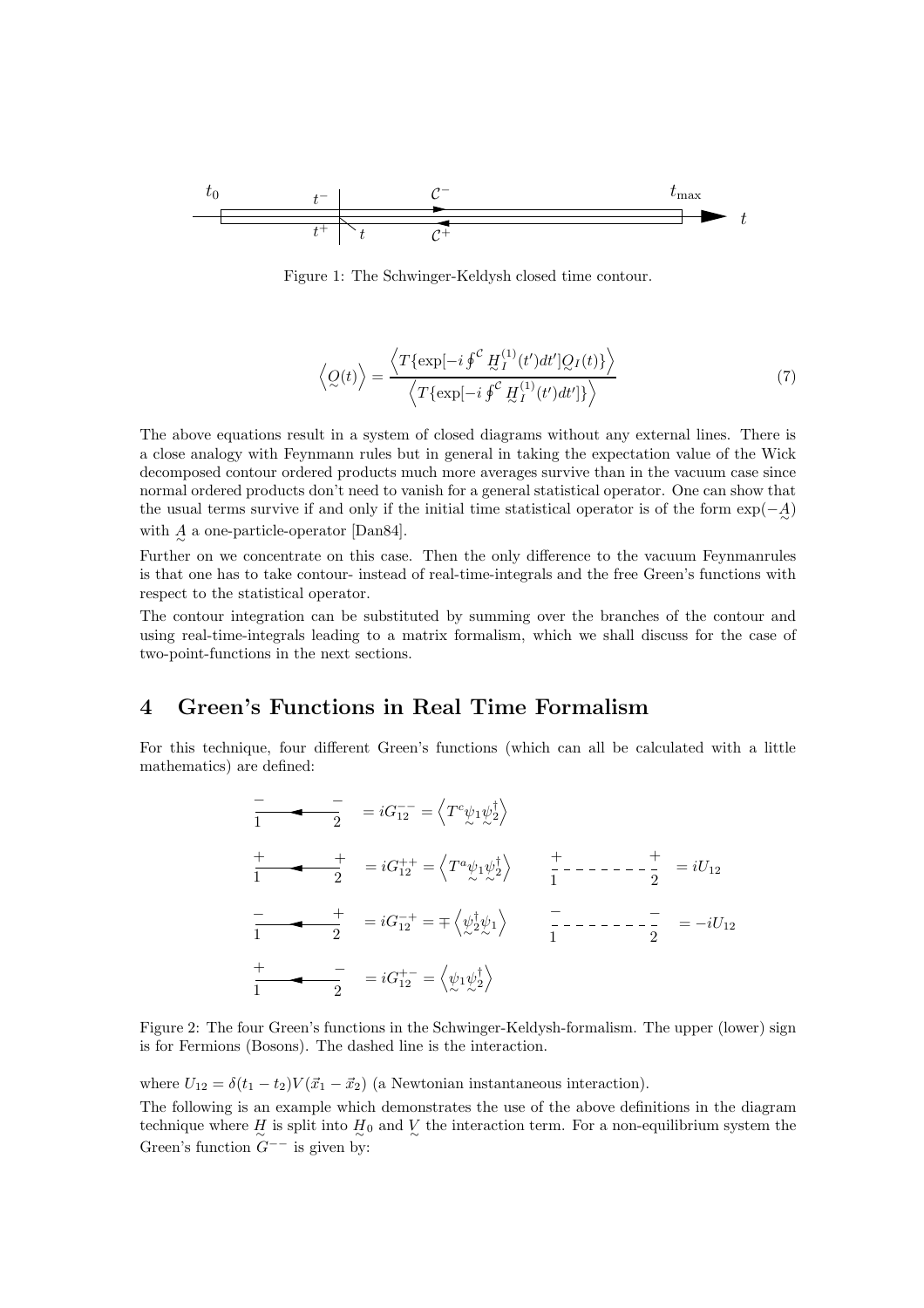

Figure 1: The Schwinger-Keldysh closed time contour.

$$
\left\langle Q(t) \right\rangle = \frac{\left\langle T\{\exp[-i\oint^{C} \underline{H}_{I}^{(1)}(t')dt']Q_{I}(t)\} \right\rangle}{\left\langle T\{\exp[-i\oint^{C} \underline{H}_{I}^{(1)}(t')dt']\} \right\rangle} \tag{7}
$$

The above equations result in a system of closed diagrams without any external lines. There is a close analogy with Feynmann rules but in general in taking the expectation value of the Wick decomposed contour ordered products much more averages survive than in the vacuum case since normal ordered products don't need to vanish for a general statistical operator. One can show that the usual terms survive if and only if the initial time statistical operator is of the form  $\exp(-\mathcal{A})$ with  $A^{\text{}}_{\sim}$  a one-particle-operator [Dan84].

Further on we concentrate on this case. Then the only difference to the vacuum Feynmanrules is that one has to take contour- instead of real-time-integrals and the free Green's functions with respect to the statistical operator.

The contour integration can be substituted by summing over the branches of the contour and using real-time-integrals leading to a matrix formalism, which we shall discuss for the case of two-point-functions in the next sections.

### 4 Green's Functions in Real Time Formalism

For this technique, four different Green's functions (which can all be calculated with a little mathematics) are defined:

$$
\frac{-}{1} = iG_{12}^{--} = \langle T^c \psi_1 \psi_2^{\dagger} \rangle
$$
\n
$$
\frac{+}{1} = iG_{12}^{++} = \langle T^a \psi_1 \psi_2^{\dagger} \rangle \frac{+}{1} - \cdots - \frac{+}{2} = iU_{12}
$$
\n
$$
\frac{-}{1} = iG_{12}^{++} = \mp \langle \psi_2^{\dagger} \psi_1 \rangle \frac{-}{1} - \cdots - \frac{-}{2} = -iU_{12}
$$
\n
$$
\frac{+}{1} = iG_{12}^{+-} = \langle \psi_1 \psi_2^{\dagger} \rangle
$$

Figure 2: The four Green's functions in the Schwinger-Keldysh-formalism. The upper (lower) sign is for Fermions (Bosons). The dashed line is the interaction.

where  $U_{12} = \delta(t_1 - t_2)V(\vec{x}_1 - \vec{x}_2)$  (a Newtonian instantaneous interaction).

The following is an example which demonstrates the use of the above definitions in the diagram technique where  $H_{\sim}$  is split into  $H_0$  and  $\frac{V}{\sim}$  the interaction term. For a non-equilibrium system the Green's function  $G^{--}$  is given by: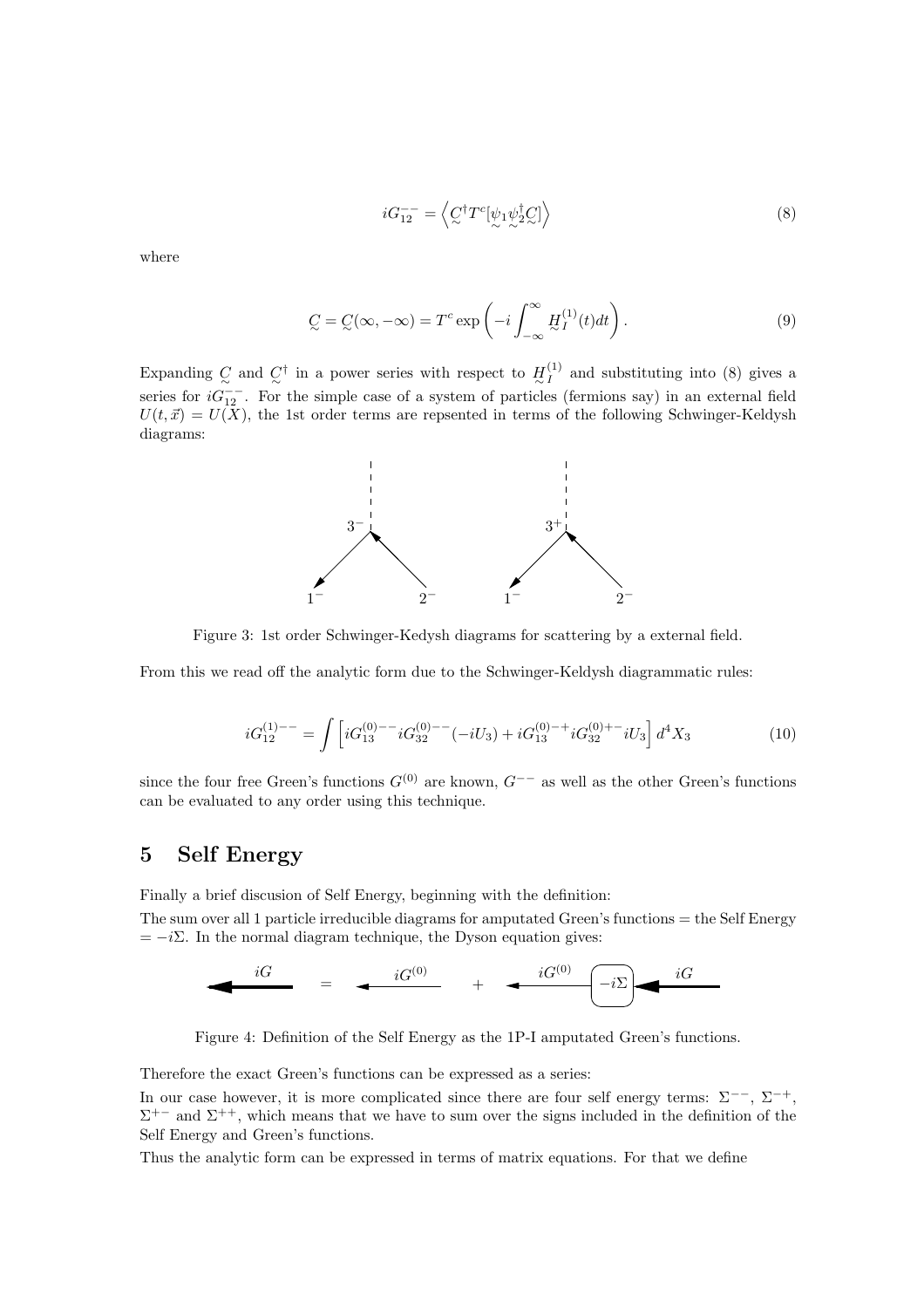$$
iG_{12}^{--} = \left\langle C^{\dagger}T^{c}[\psi_1\psi_2^{\dagger}C]\right\rangle \tag{8}
$$

where

$$
C = C(\infty, -\infty) = T^c \exp\left(-i \int_{-\infty}^{\infty} H_I^{(1)}(t) dt\right).
$$
\n(9)

Expanding  $C_{\alpha}$  and  $C^{\dagger}$  in a power series with respect to  $H_I^{(1)}$  and substituting into (8) gives a series for  $iG_{12}^{--}$ . For the simple case of a system of particles (fermions say) in an external field  $U(t, \vec{x}) = U(X)$ , the 1st order terms are repsented in terms of the following Schwinger-Keldysh diagrams:



Figure 3: 1st order Schwinger-Kedysh diagrams for scattering by a external field.

From this we read off the analytic form due to the Schwinger-Keldysh diagrammatic rules:

$$
iG_{12}^{(1)--} = \int \left[ iG_{13}^{(0)--}iG_{32}^{(0)--}(-iU_3) + iG_{13}^{(0)-+}iG_{32}^{(0)+-}iU_3 \right] d^4X_3 \tag{10}
$$

since the four free Green's functions  $G^{(0)}$  are known,  $G^{--}$  as well as the other Green's functions can be evaluated to any order using this technique.

#### 5 Self Energy

Finally a brief discusion of Self Energy, beginning with the definition:

The sum over all 1 particle irreducible diagrams for amputated Green's functions = the Self Energy  $= -i\Sigma$ . In the normal diagram technique, the Dyson equation gives:



Figure 4: Definition of the Self Energy as the 1P-I amputated Green's functions.

Therefore the exact Green's functions can be expressed as a series:

In our case however, it is more complicated since there are four self energy terms:  $\Sigma^{--}$ ,  $\Sigma^{-+}$ ,  $\Sigma^{+-}$  and  $\Sigma^{++}$ , which means that we have to sum over the signs included in the definition of the Self Energy and Green's functions.

Thus the analytic form can be expressed in terms of matrix equations. For that we define